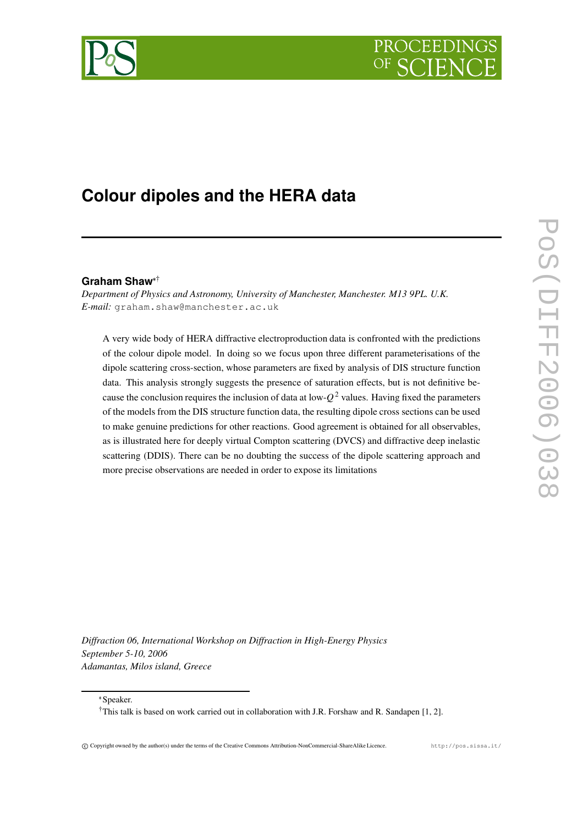



# **Colour dipoles and the HERA data**

# **Graham Shaw** †

*Department of Physics and Astronomy, University of Manchester, Manchester. M13 9PL. U.K. E-mail:* graham.shaw@manchester.ac.uk

A very wide body of HERA diffractive electroproduction data is confronted with the predictions of the colour dipole model. In doing so we focus upon three different parameterisations of the dipole scattering cross-section, whose parameters are fixed by analysis of DIS structure function data. This analysis strongly suggests the presence of saturation effects, but is not definitive because the conclusion requires the inclusion of data at low- $Q^2$  values. Having fixed the parameters of the models from the DIS structure function data, the resulting dipole cross sections can be used to make genuine predictions for other reactions. Good agreement is obtained for all observables, as is illustrated here for deeply virtual Compton scattering (DVCS) and diffractive deep inelastic scattering (DDIS). There can be no doubting the success of the dipole scattering approach and more precise observations are needed in order to expose its limitations

*Diffraction 06, International Workshop on Diffraction in High-Energy Physics September 5-10, 2006 Adamantas, Milos island, Greece*

Speaker.

<sup>†</sup>This talk is based on work carried out in collaboration with J.R. Forshaw and R. Sandapen [1, 2].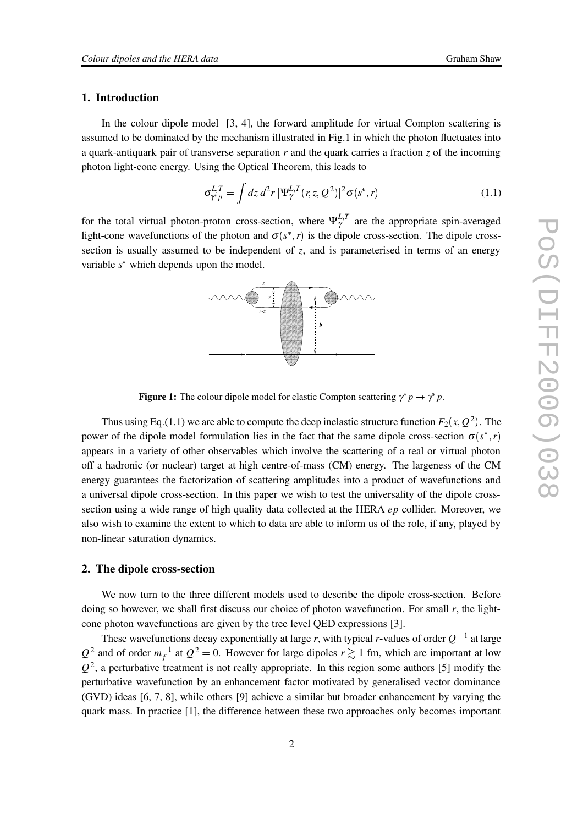# **1. Introduction**

In the colour dipole model [3, 4], the forward amplitude for virtual Compton scattering is assumed to be dominated by the mechanism illustrated in Fig.1 in which the photon fluctuates into a quark-antiquark pair of transverse separation *r* and the quark carries a fraction *z* of the incoming photon light-cone energy. Using the Optical Theorem, this leads to

$$
\sigma_{\gamma^* p}^{L,T} = \int dz \, d^2 r \, |\Psi_\gamma^{L,T}(r,z,Q^2)|^2 \sigma(s^*,r) \tag{1.1}
$$

for the total virtual photon-proton cross-section, where  $\Psi_{\gamma}^{L,T}$  are the appropriate spin-averaged light-cone wavefunctions of the photon and  $\sigma(s^*, r)$  is the dipole cross-section. The dipole crosssection is usually assumed to be independent of *z*, and is parameterised in terms of an energy variable  $s^*$  which depends upon the model.



**Figure 1:** The colour dipole model for elastic Compton scattering  $\gamma^* p \to \gamma^* p$ .

Thus using Eq.(1.1) we are able to compute the deep inelastic structure function  $F_2(x, Q^2)$ . The power of the dipole model formulation lies in the fact that the same dipole cross-section  $\sigma(s^*, r)$ appears in a variety of other observables which involve the scattering of a real or virtual photon off a hadronic (or nuclear) target at high centre-of-mass (CM) energy. The largeness of the CM energy guarantees the factorization of scattering amplitudes into a product of wavefunctions and a universal dipole cross-section. In this paper we wish to test the universality of the dipole crosssection using a wide range of high quality data collected at the HERA *ep* collider. Moreover, we also wish to examine the extent to which to data are able to inform us of the role, if any, played by non-linear saturation dynamics.

# **2. The dipole cross-section**

We now turn to the three different models used to describe the dipole cross-section. Before doing so however, we shall first discuss our choice of photon wavefunction. For small *r*, the lightcone photon wavefunctions are given by the tree level QED expressions [3].

These wavefunctions decay exponentially at large *r*, with typical *r*-values of order  $Q^{-1}$  at large  $Q^2$  and of order  $m_f^{-1}$  at  $Q^2 = 0$ . However for large dipoles  $r \gtrsim 1$  fm, which are important at low  $Q<sup>2</sup>$ , a perturbative treatment is not really appropriate. In this region some authors [5] modify the perturbative wavefunction by an enhancement factor motivated by generalised vector dominance (GVD) ideas [6, 7, 8], while others [9] achieve a similar but broader enhancement by varying the quark mass. In practice [1], the difference between these two approaches only becomes important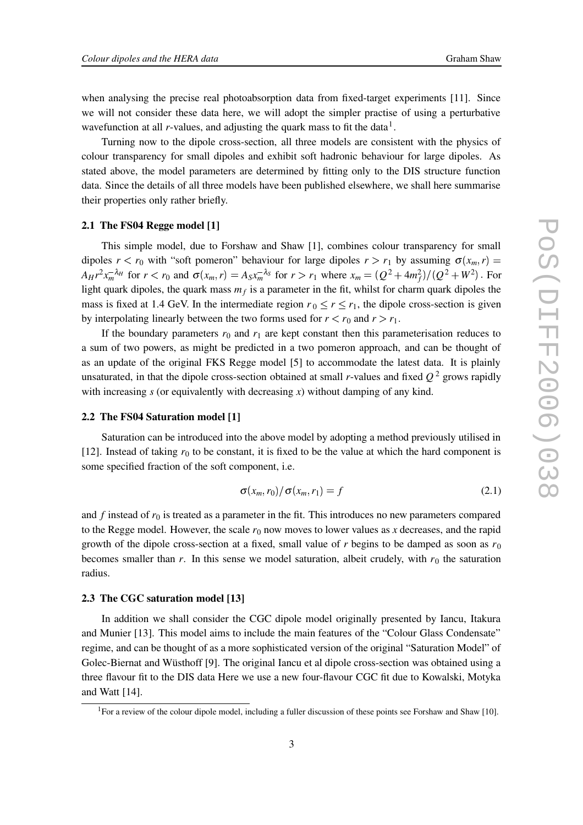when analysing the precise real photoabsorption data from fixed-target experiments [11]. Since we will not consider these data here, we will adopt the simpler practise of using a perturbative wavefunction at all  $r$ -values, and adjusting the quark mass to fit the data<sup>1</sup>.

Turning now to the dipole cross-section, all three models are consistent with the physics of colour transparency for small dipoles and exhibit soft hadronic behaviour for large dipoles. As stated above, the model parameters are determined by fitting only to the DIS structure function data. Since the details of all three models have been published elsewhere, we shall here summarise their properties only rather briefly.

#### **2.1 The FS04 Regge model [1]**

This simple model, due to Forshaw and Shaw [1], combines colour transparency for small dipoles  $r < r_0$  with "soft pomeron" behaviour for large dipoles  $r > r_1$  by assuming  $\sigma(x_m, r)$  $A_H r^2 x_m^{-\lambda_H}$  for  $r < r_0$  and  $\sigma(x_m, r) = A_S x_m^{-\lambda_S}$  for  $r > r_1$  where  $x_m = (Q^2 + 4m_f^2)/(Q^2 + W^2)$ . For light quark dipoles, the quark mass  $m_f$  is a parameter in the fit, whilst for charm quark dipoles the mass is fixed at 1.4 GeV. In the intermediate region  $r_0 \le r \le r_1$ , the dipole cross-section is given by interpolating linearly between the two forms used for  $r < r_0$  and  $r > r_1$ .

If the boundary parameters  $r_0$  and  $r_1$  are kept constant then this parameterisation reduces to a sum of two powers, as might be predicted in a two pomeron approach, and can be thought of as an update of the original FKS Regge model [5] to accommodate the latest data. It is plainly unsaturated, in that the dipole cross-section obtained at small *r*-values and fixed *Q* <sup>2</sup> grows rapidly with increasing *s* (or equivalently with decreasing *x*) without damping of any kind.

#### **2.2 The FS04 Saturation model [1]**

Saturation can be introduced into the above model by adopting a method previously utilised in [12]. Instead of taking  $r_0$  to be constant, it is fixed to be the value at which the hard component is some specified fraction of the soft component, i.e.

$$
\sigma(x_m, r_0) / \sigma(x_m, r_1) = f \tag{2.1}
$$

and  $f$  instead of  $r_0$  is treated as a parameter in the fit. This introduces no new parameters compared to the Regge model. However, the scale  $r_0$  now moves to lower values as x decreases, and the rapid growth of the dipole cross-section at a fixed, small value of  $r$  begins to be damped as soon as  $r_0$ becomes smaller than  $r$ . In this sense we model saturation, albeit crudely, with  $r<sub>0</sub>$  the saturation radius.

#### **2.3 The CGC saturation model [13]**

In addition we shall consider the CGC dipole model originally presented by Iancu, Itakura and Munier [13]. This model aims to include the main features of the "Colour Glass Condensate" regime, and can be thought of as a more sophisticated version of the original "Saturation Model" of Golec-Biernat and Wüsthoff [9]. The original Iancu et al dipole cross-section was obtained using a three flavour fit to the DIS data Here we use a new four-flavour CGC fit due to Kowalski, Motyka and Watt [14].

<sup>&</sup>lt;sup>1</sup> For a review of the colour dipole model, including a fuller discussion of these points see Forshaw and Shaw [10].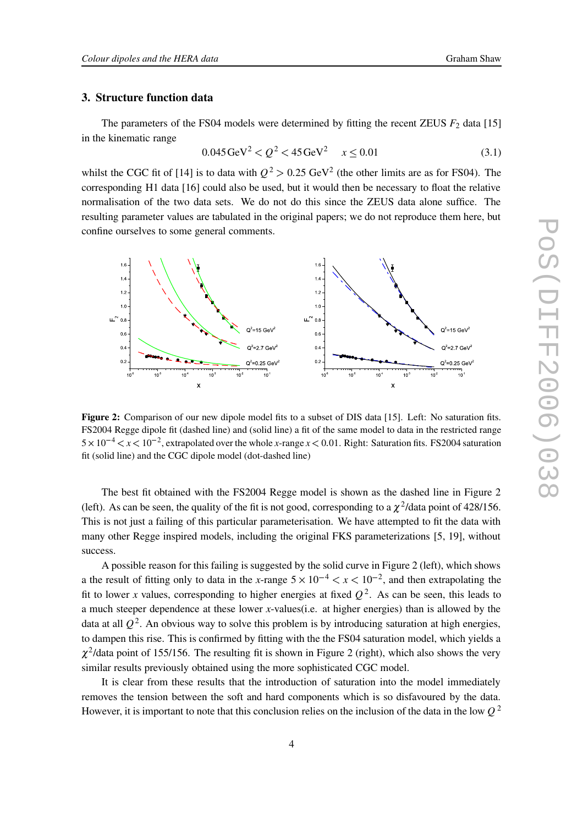#### **3. Structure function data**

The parameters of the FS04 models were determined by fitting the recent ZEUS  $F_2$  data [15] in the kinematic range

$$
0.045 \,\text{GeV}^2 < Q^2 < 45 \,\text{GeV}^2 \quad x \le 0.01 \tag{3.1}
$$

whilst the CGC fit of [14] is to data with  $Q^2 > 0.25$  GeV<sup>2</sup> (the other limits are as for FS04). The corresponding H1 data [16] could also be used, but it would then be necessary to float the relative normalisation of the two data sets. We do not do this since the ZEUS data alone suffice. The resulting parameter values are tabulated in the original papers; we do not reproduce them here, but confine ourselves to some general comments.



**Figure 2:** Comparison of our new dipole model fits to a subset of DIS data [15]. Left: No saturation fits. FS2004 Regge dipole fit (dashed line) and (solid line) a fit of the same model to data in the restricted range  $5 \times 10^{-4} < x < 10^{-2}$ , extrapolated over the whole *x*-range  $x < 0.01$ . Right: Saturation fits. FS2004 saturation fit (solid line) and the CGC dipole model (dot-dashed line)

The best fit obtained with the FS2004 Regge model is shown as the dashed line in Figure 2 (left). As can be seen, the quality of the fit is not good, corresponding to a  $\chi^2$ /data point of 428/156. This is not just a failing of this particular parameterisation. We have attempted to fit the data with many other Regge inspired models, including the original FKS parameterizations [5, 19], without success.

A possible reason for this failing is suggested by the solid curve in Figure 2 (left), which shows a the result of fitting only to data in the *x*-range  $5 \times 10^{-4} < x < 10^{-2}$ , and then extrapolating the fit to lower *x* values, corresponding to higher energies at fixed  $Q^2$ . As can be seen, this leads to a much steeper dependence at these lower *x*-values(i.e. at higher energies) than is allowed by the data at all *Q* 2 . An obvious way to solve this problem is by introducing saturation at high energies, to dampen this rise. This is confirmed by fitting with the the FS04 saturation model, which yields a  $\chi^2$ /data point of 155/156. The resulting fit is shown in Figure 2 (right), which also shows the very similar results previously obtained using the more sophisticated CGC model.

It is clear from these results that the introduction of saturation into the model immediately removes the tension between the soft and hard components which is so disfavoured by the data. However, it is important to note that this conclusion relies on the inclusion of the data in the low *Q* 2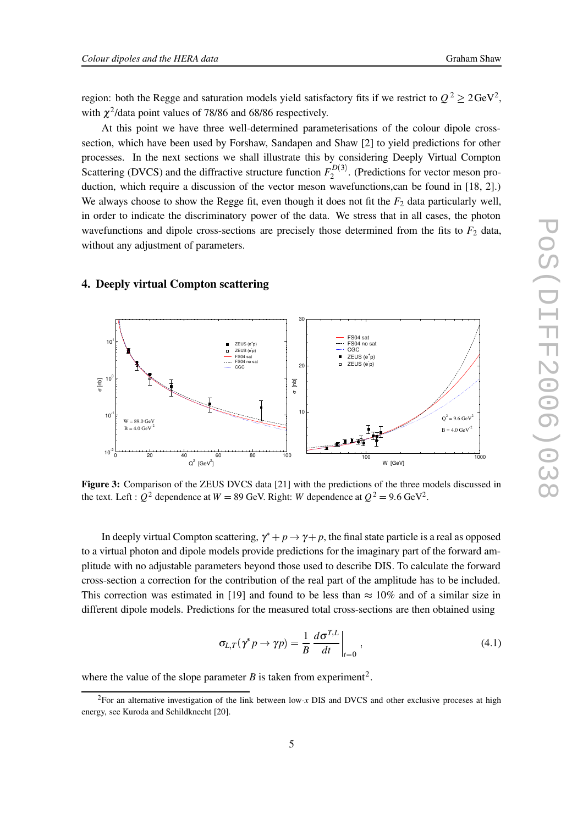region: both the Regge and saturation models yield satisfactory fits if we restrict to  $Q^2 \ge 2 \text{GeV}^2$ , with  $\chi^2$ /data point values of 78/86 and 68/86 respectively.

At this point we have three well-determined parameterisations of the colour dipole crosssection, which have been used by Forshaw, Sandapen and Shaw [2] to yield predictions for other processes. In the next sections we shall illustrate this by considering Deeply Virtual Compton Scattering (DVCS) and the diffractive structure function  $F_2^{D(3)}$ . (P  $2^{D(5)}$ . (Predictions for vector meson production, which require a discussion of the vector meson wavefunctions,can be found in [18, 2].) We always choose to show the Regge fit, even though it does not fit the  $F_2$  data particularly well, in order to indicate the discriminatory power of the data. We stress that in all cases, the photon wavefunctions and dipole cross-sections are precisely those determined from the fits to  $F_2$  data, without any adjustment of parameters.

# **4. Deeply virtual Compton scattering**



**Figure 3:** Comparison of the ZEUS DVCS data [21] with the predictions of the three models discussed in the text. Left :  $Q^2$  dependence at  $W = 89$  GeV. Right: *W* dependence at  $Q^2 = 9.6$  GeV<sup>2</sup>.

In deeply virtual Compton scattering,  $\gamma^* + p \rightarrow \gamma + p$ , the final state particle is a real as opposed to a virtual photon and dipole models provide predictions for the imaginary part of the forward amplitude with no adjustable parameters beyond those used to describe DIS. To calculate the forward cross-section a correction for the contribution of the real part of the amplitude has to be included. This correction was estimated in [19] and found to be less than  $\approx 10\%$  and of a similar size in different dipole models. Predictions for the measured total cross-sections are then obtained using

$$
\sigma_{L,T}(\gamma^* p \to \gamma p) = \frac{1}{B} \left. \frac{d\sigma^{T,L}}{dt} \right|_{t=0},\tag{4.1}
$$

where the value of the slope parameter  $B$  is taken from experiment<sup>2</sup>.

<sup>2</sup>For an alternative investigation of the link between low-*x* DIS and DVCS and other exclusive proceses at high energy, see Kuroda and Schildknecht [20].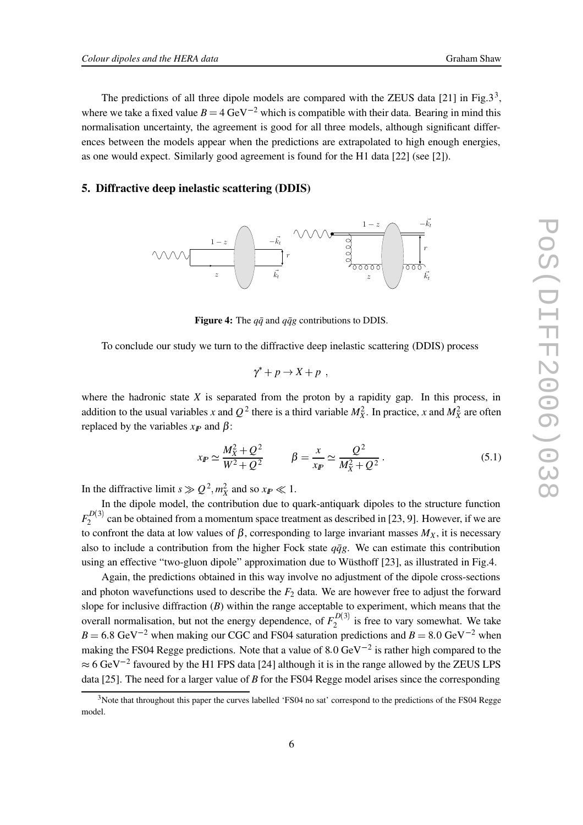The predictions of all three dipole models are compared with the ZEUS data [21] in Fig.3<sup>3</sup>, where we take a fixed value  $B = 4 \text{ GeV}^{-2}$  which is compatible with their data. Bearing in mind this normalisation uncertainty, the agreement is good for all three models, although significant differences between the models appear when the predictions are extrapolated to high enough energies, as one would expect. Similarly good agreement is found for the H1 data [22] (see [2]).

# **5. Diffractive deep inelastic scattering (DDIS)**



**Figure 4:** The  $q\bar{q}$  and  $q\bar{q}g$  contributions to DDIS.

To conclude our study we turn to the diffractive deep inelastic scattering (DDIS) process

$$
\gamma^* + p \to X + p \enspace,
$$

where the hadronic state  $X$  is separated from the proton by a rapidity gap. In this process, in addition to the usual variables *x* and  $Q^2$  there is a third variable  $M_X^2$ . In practice, *x* and  $M_X^2$  are often replaced by the variables  $x<sub>P</sub>$  and β:

$$
x_{I\!\!P} \simeq \frac{M_X^2 + Q^2}{W^2 + Q^2} \qquad \beta = \frac{x}{x_{I\!\!P}} \simeq \frac{Q^2}{M_X^2 + Q^2} \,. \tag{5.1}
$$

In the diffractive limit  $s \gg Q^2, m_X^2$  and so  $x_{I\!\!P} \ll 1$ .

In the dipole model, the contribution due to quark-antiquark dipoles to the structure function  $F_2^{D(3)}$  can  $2^{D(3)}$  can be obtained from a momentum space treatment as described in [23, 9]. However, if we are to confront the data at low values of  $\beta$ , corresponding to large invariant masses  $M_X$ , it is necessary also to include a contribution from the higher Fock state  $q\bar{q}g$ . We can estimate this contribution using an effective "two-gluon dipole" approximation due to Wüsthoff [23], as illustrated in Fig.4.

Again, the predictions obtained in this way involve no adjustment of the dipole cross-sections and photon wavefunctions used to describe the  $F_2$  data. We are however free to adjust the forward slope for inclusive diffraction (*B*) within the range acceptable to experiment, which means that the overall normalisation, but not the energy dependence, of  $F_2^{D(3)}$  is f  $2^{(D(3))}$  is free to vary somewhat. We take  $B = 6.8 \text{ GeV}^{-2}$  when making our CGC and FS04 saturation predictions and  $B = 8.0 \text{ GeV}^{-2}$  when making the FS04 Regge predictions. Note that a value of 8.0 GeV $^{-2}$  is rather high compared to the  $\approx$  6 GeV<sup>-2</sup> favoured by the H1 FPS data [24] although it is in the range allowed by the ZEUS LPS data [25]. The need for a larger value of *B* for the FS04 Regge model arises since the corresponding

<sup>&</sup>lt;sup>3</sup>Note that throughout this paper the curves labelled 'FS04 no sat' correspond to the predictions of the FS04 Regge model.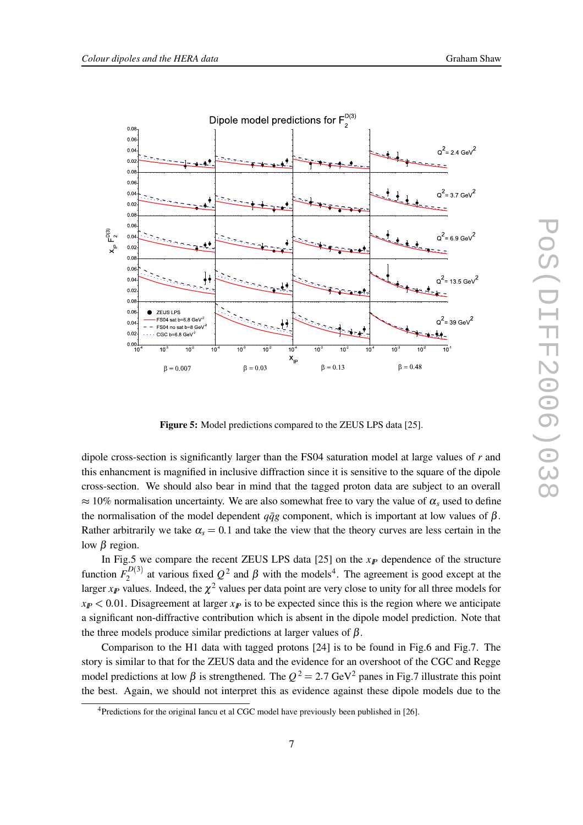

**Figure 5:** Model predictions compared to the ZEUS LPS data [25].

dipole cross-section is significantly larger than the FS04 saturation model at large values of *r* and this enhancment is magnified in inclusive diffraction since it is sensitive to the square of the dipole cross-section. We should also bear in mind that the tagged proton data are subject to an overall  $\approx$  10% normalisation uncertainty. We are also somewhat free to vary the value of  $\alpha_s$  used to define the normalisation of the model dependent  $q\bar{q}g$  component, which is important at low values of  $\beta$ . Rather arbitrarily we take  $\alpha_s = 0.1$  and take the view that the theory curves are less certain in the low β region.

In Fig.5 we compare the recent ZEUS LPS data  $[25]$  on the  $x<sub>F</sub>$  dependence of the structure function  $F_2^{D(3)}$  at  $\cdot$  $2^{(1/2)}$  at various fixed  $Q^2$  and  $\beta$  with the models<sup>4</sup>. The agreement is good except at the larger  $x_{I\!\!P}$  values. Indeed, the  $\chi^2$  values per data point are very close to unity for all three models for  $x_{I\!P}$  < 0.01. Disagreement at larger  $x_{I\!P}$  is to be expected since this is the region where we anticipate a significant non-diffractive contribution which is absent in the dipole model prediction. Note that the three models produce similar predictions at larger values of  $\beta$ .

Comparison to the H1 data with tagged protons [24] is to be found in Fig.6 and Fig.7. The story is similar to that for the ZEUS data and the evidence for an overshoot of the CGC and Regge model predictions at low  $\beta$  is strengthened. The  $Q^2 = 2.7 \text{ GeV}^2$  panes in Fig.7 illustrate this point the best. Again, we should not interpret this as evidence against these dipole models due to the

<sup>&</sup>lt;sup>4</sup>Predictions for the original Iancu et al CGC model have previously been published in [26].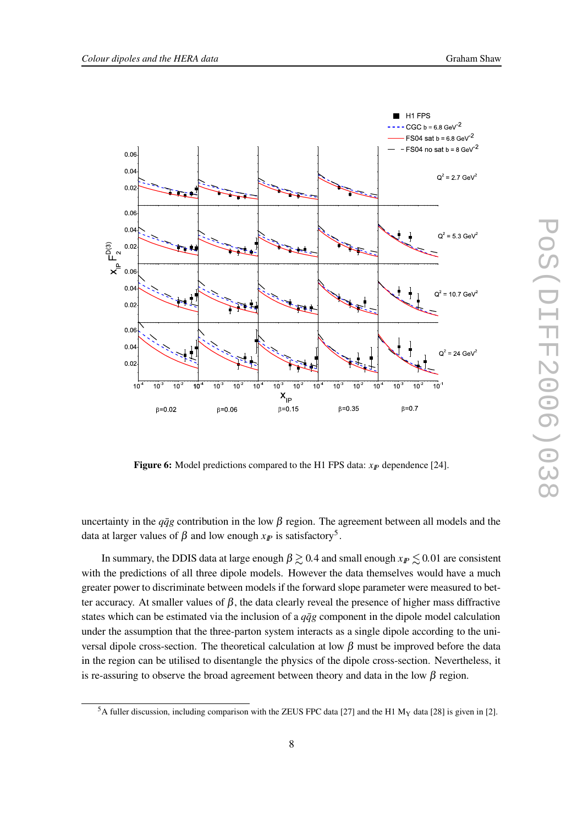

**Figure 6:** Model predictions compared to the H1 FPS data: *xIP* dependence [24].

uncertainty in the  $q\bar{q}g$  contribution in the low  $\beta$  region. The agreement between all models and the data at larger values of  $\beta$  and low enough  $x_{I\!\!P}$  is satisfactory<sup>5</sup>.

In summary, the DDIS data at large enough  $\beta \gtrsim 0.4$  and small enough  $x_{I\!\!P} \lesssim 0.01$  are consistent with the predictions of all three dipole models. However the data themselves would have a much greater power to discriminate between models if the forward slope parameter were measured to better accuracy. At smaller values of  $\beta$ , the data clearly reveal the presence of higher mass diffractive states which can be estimated via the inclusion of a  $q\bar{q}g$  component in the dipole model calculation under the assumption that the three-parton system interacts as a single dipole according to the universal dipole cross-section. The theoretical calculation at low β must be improved before the data in the region can be utilised to disentangle the physics of the dipole cross-section. Nevertheless, it is re-assuring to observe the broad agreement between theory and data in the low  $\beta$  region.

<sup>&</sup>lt;sup>5</sup>A fuller discussion, including comparison with the ZEUS FPC data [27] and the H1 M<sub>Y</sub> data [28] is given in [2].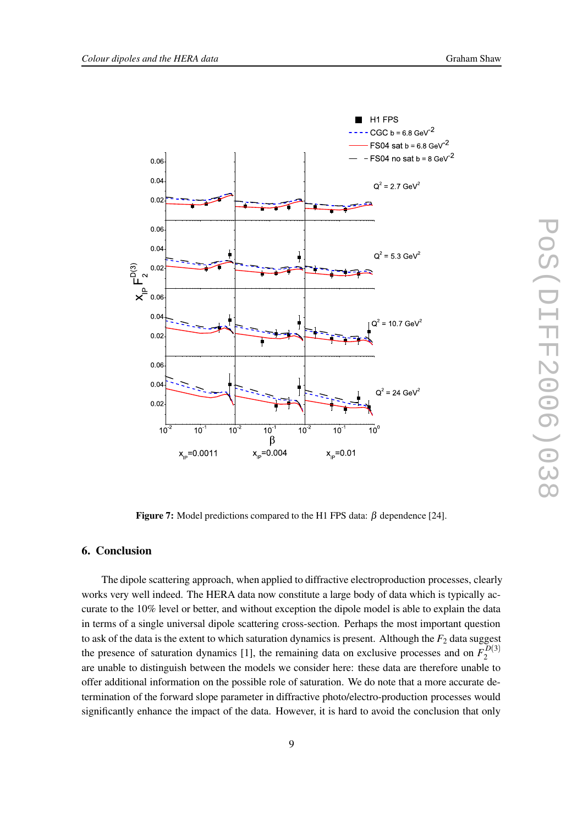

**Figure 7:** Model predictions compared to the H1 FPS data:  $\beta$  dependence [24].

# **6. Conclusion**

The dipole scattering approach, when applied to diffractive electroproduction processes, clearly works very well indeed. The HERA data now constitute a large body of data which is typically accurate to the 10% level or better, and without exception the dipole model is able to explain the data in terms of a single universal dipole scattering cross-section. Perhaps the most important question to ask of the data is the extent to which saturation dynamics is present. Although the  $F_2$  data suggest the presence of saturation dynamics [1], the remaining data on exclusive processes and on  $F_2^{D(3)}$ 2 are unable to distinguish between the models we consider here: these data are therefore unable to offer additional information on the possible role of saturation. We do note that a more accurate determination of the forward slope parameter in diffractive photo/electro-production processes would significantly enhance the impact of the data. However, it is hard to avoid the conclusion that only